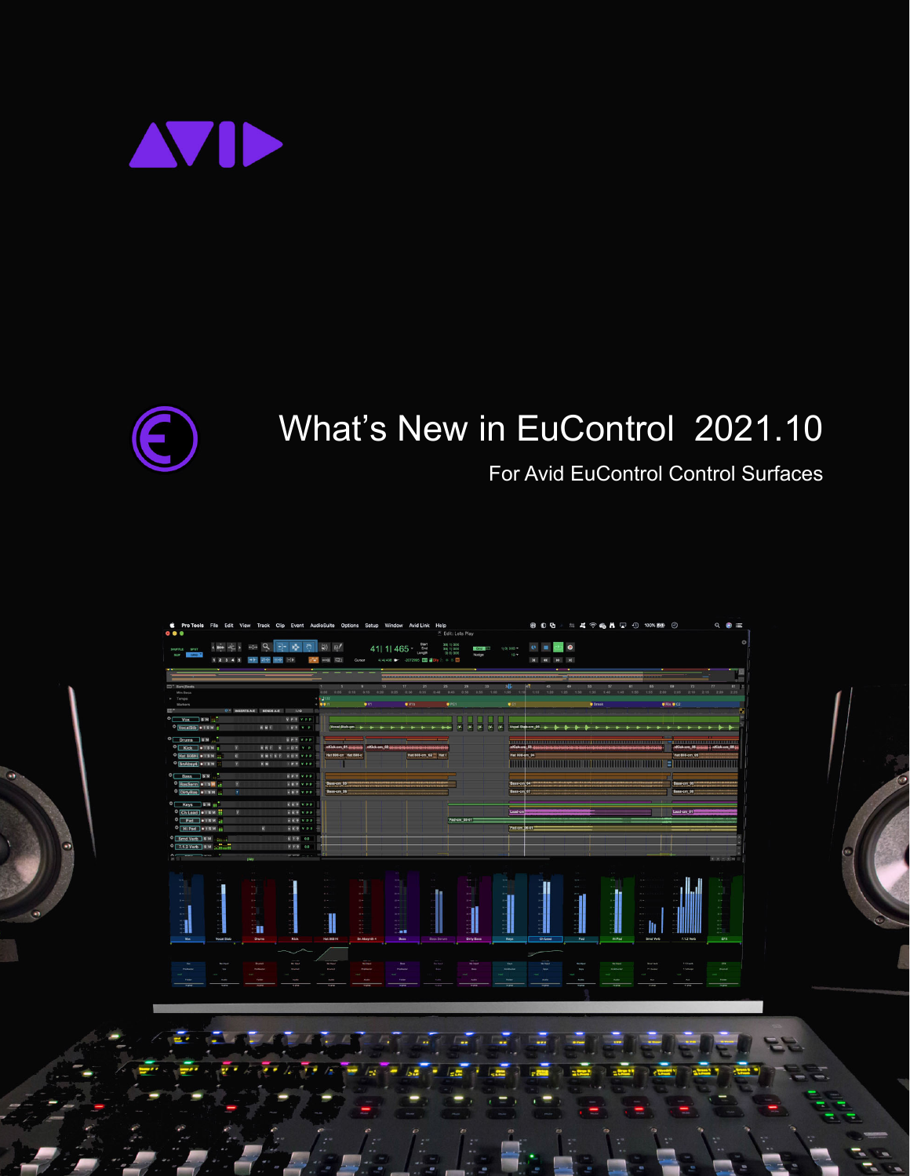



# What's New in EuControl 2021.10

## For Avid EuControl Control Surfaces

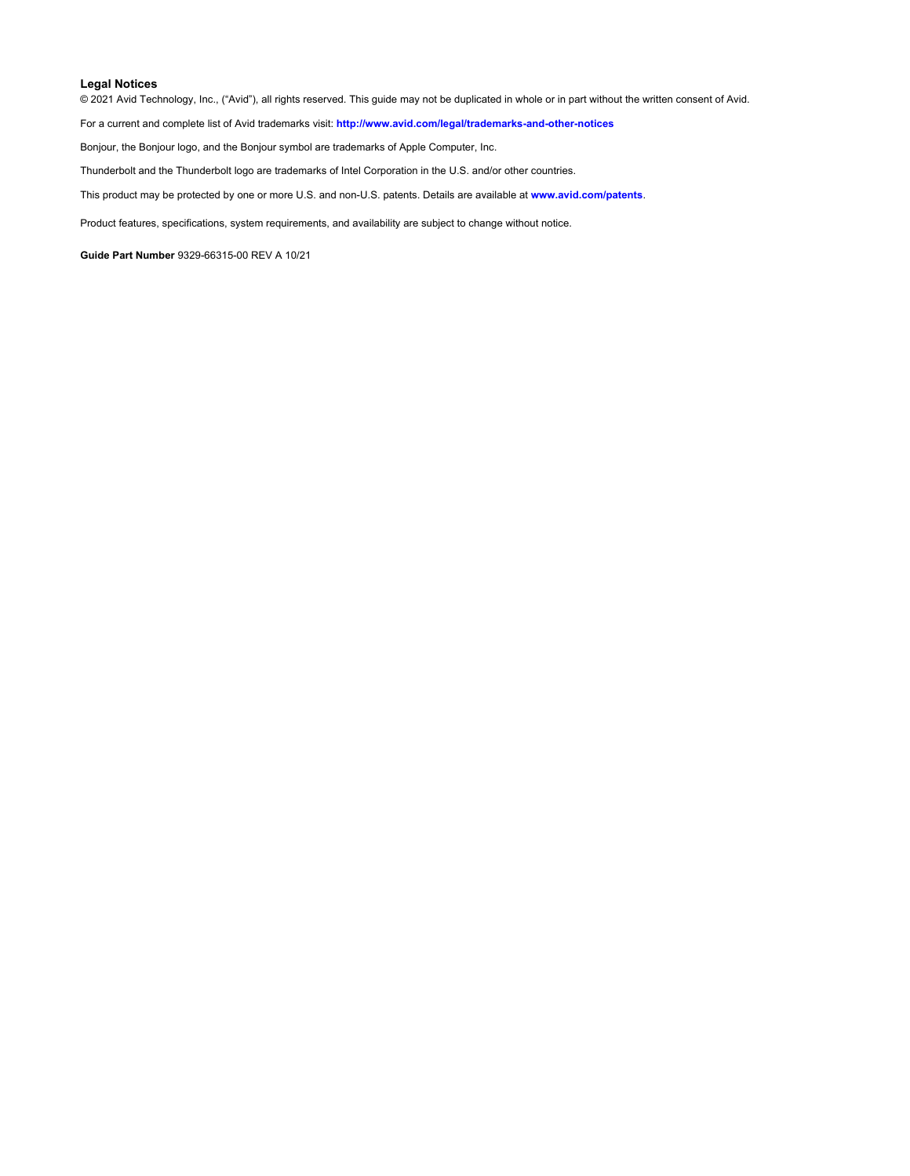#### **Legal Notices**

© 2021 Avid Technology, Inc., ("Avid"), all rights reserved. This guide may not be duplicated in whole or in part without the written consent of Avid.

For a current and complete list of Avid trademarks visit: **<http://www.avid.com/legal/trademarks-and-other-notices>**

Bonjour, the Bonjour logo, and the Bonjour symbol are trademarks of Apple Computer, Inc.

Thunderbolt and the Thunderbolt logo are trademarks of Intel Corporation in the U.S. and/or other countries.

This product may be protected by one or more U.S. and non-U.S. patents. Details are available at **[www.avid.com/patents](http://www.avid.com/legal/patent-marking)**.

Product features, specifications, system requirements, and availability are subject to change without notice.

**Guide Part Number** 9329-66315-00 REV A 10/21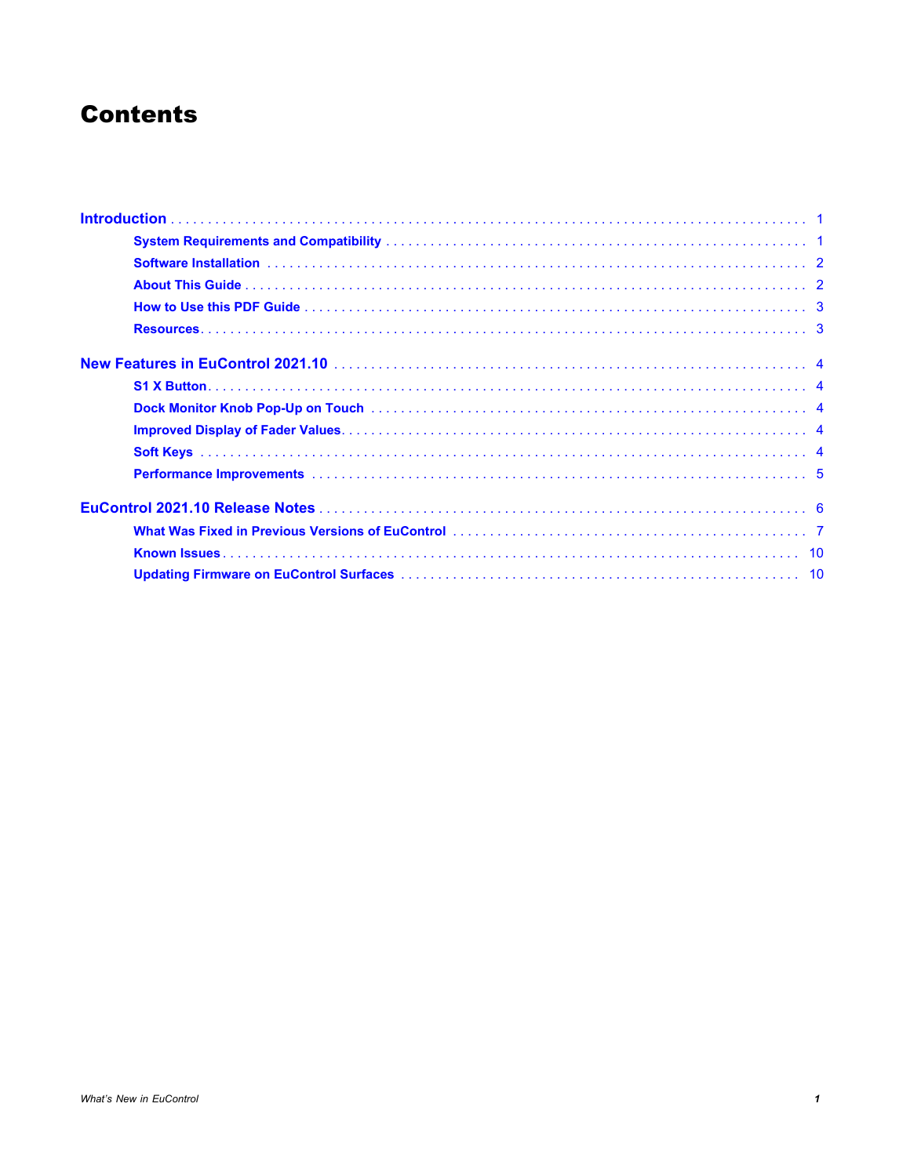## **Contents**

| Software Installation (and according to the control of the control of the control of the control of the control of the control of the control of the control of the control of the control of the control of the control of th |  |
|--------------------------------------------------------------------------------------------------------------------------------------------------------------------------------------------------------------------------------|--|
|                                                                                                                                                                                                                                |  |
|                                                                                                                                                                                                                                |  |
|                                                                                                                                                                                                                                |  |
|                                                                                                                                                                                                                                |  |
|                                                                                                                                                                                                                                |  |
|                                                                                                                                                                                                                                |  |
|                                                                                                                                                                                                                                |  |
|                                                                                                                                                                                                                                |  |
|                                                                                                                                                                                                                                |  |
|                                                                                                                                                                                                                                |  |
|                                                                                                                                                                                                                                |  |
|                                                                                                                                                                                                                                |  |
|                                                                                                                                                                                                                                |  |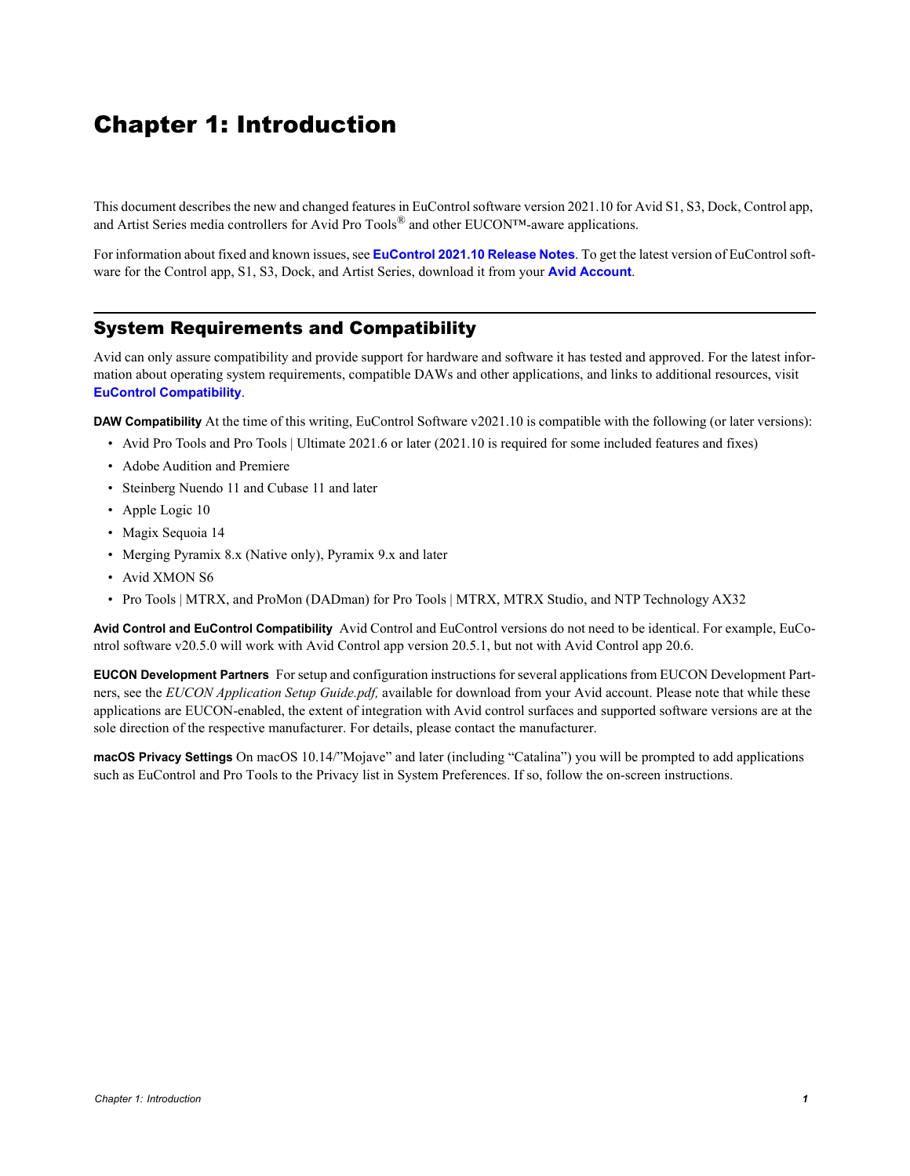## <span id="page-3-0"></span>Chapter 1: Introduction

This document describes the new and changed features in EuControl software version 2021.10 for Avid S1, S3, Dock, Control app, and Artist Series media controllers for Avid Pro Tools<sup>®</sup> and other EUCON<sup>™</sup>-aware applications.

For information about fixed and known issues, see **[EuControl 2021.10 Release Notes](#page-8-1)**. To get the latest version of EuControl software for the Control app, S1, S3, Dock, and Artist Series, download it from your **[Avid Account](https://www.avid.com/account)**.

## <span id="page-3-1"></span>System Requirements and Compatibility

Avid can only assure compatibility and provide support for hardware and software it has tested and approved. For the latest information about operating system requirements, compatible DAWs and other applications, and links to additional resources, visit **[EuControl Compatibility](http://avid.force.com/pkb/articles//Compatibility/EuControl-Compatibility?retURL=%2Fpkb%2Farticles%2Fhow_to%2FEuControl-3P-Setup&popup=true)**.

**DAW Compatibility** At the time of this writing, EuControl Software v2021.10 is compatible with the following (or later versions):

- Avid Pro Tools and Pro Tools | Ultimate 2021.6 or later (2021.10 is required for some included features and fixes)
- Adobe Audition and Premiere
- Steinberg Nuendo 11 and Cubase 11 and later
- Apple Logic 10
- Magix Sequoia 14
- Merging Pyramix 8.x (Native only), Pyramix 9.x and later
- Avid XMON S6
- Pro Tools | MTRX, and ProMon (DADman) for Pro Tools | MTRX, MTRX Studio, and NTP Technology AX32

**Avid Control and EuControl Compatibility** Avid Control and EuControl versions do not need to be identical. For example, EuControl software v20.5.0 will work with Avid Control app version 20.5.1, but not with Avid Control app 20.6.

**EUCON Development Partners** For setup and configuration instructions for several applications from EUCON Development Partners, see the *EUCON Application Setup Guide.pdf,* available for download from your Avid account. Please note that while these applications are EUCON-enabled, the extent of integration with Avid control surfaces and supported software versions are at the sole direction of the respective manufacturer. For details, please contact the manufacturer.

**macOS Privacy Settings** On macOS 10.14/"Mojave" and later (including "Catalina") you will be prompted to add applications such as EuControl and Pro Tools to the Privacy list in System Preferences. If so, follow the on-screen instructions.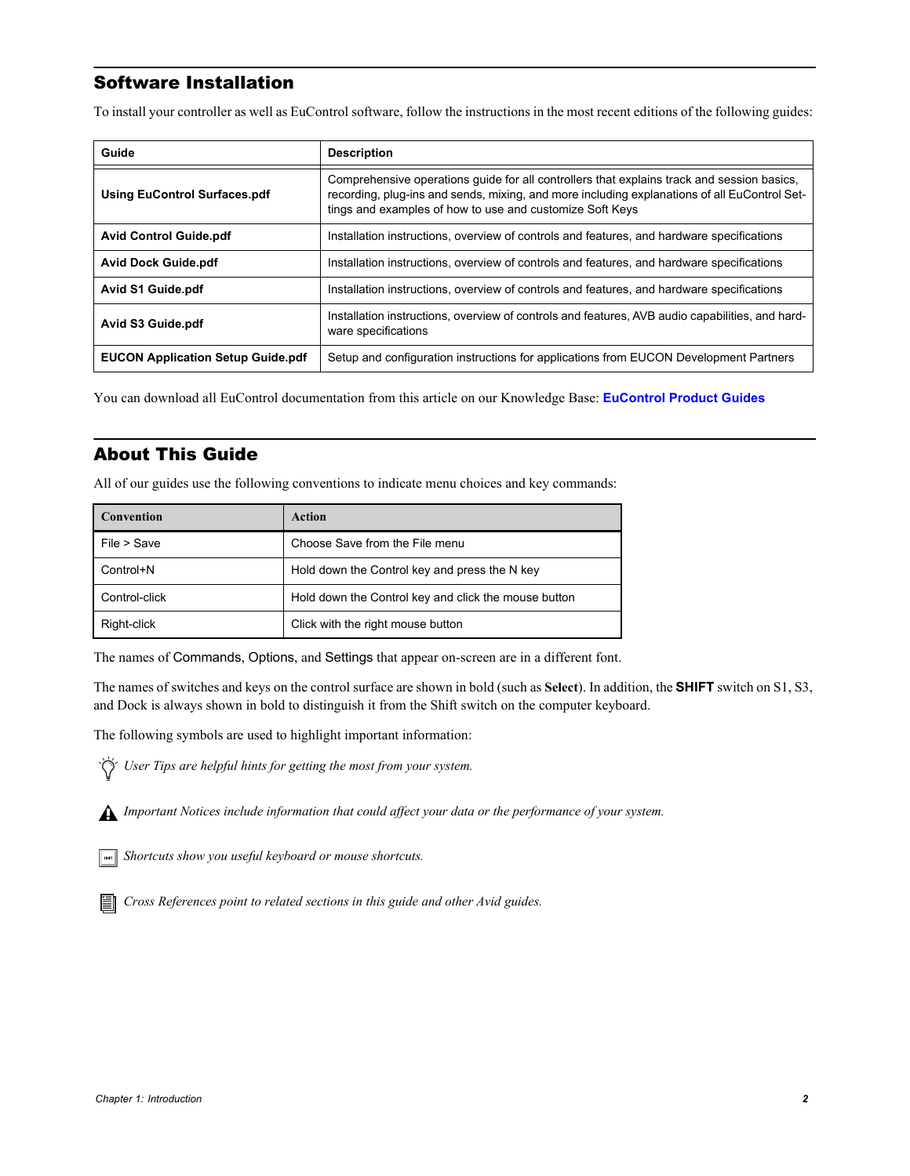## <span id="page-4-0"></span>Software Installation

To install your controller as well as EuControl software, follow the instructions in the most recent editions of the following guides:

| Guide                                    | <b>Description</b>                                                                                                                                                                                                                                     |
|------------------------------------------|--------------------------------------------------------------------------------------------------------------------------------------------------------------------------------------------------------------------------------------------------------|
| <b>Using EuControl Surfaces.pdf</b>      | Comprehensive operations quide for all controllers that explains track and session basics,<br>recording, plug-ins and sends, mixing, and more including explanations of all EuControl Set-<br>tings and examples of how to use and customize Soft Keys |
| <b>Avid Control Guide.pdf</b>            | Installation instructions, overview of controls and features, and hardware specifications                                                                                                                                                              |
| <b>Avid Dock Guide.pdf</b>               | Installation instructions, overview of controls and features, and hardware specifications                                                                                                                                                              |
| <b>Avid S1 Guide.pdf</b>                 | Installation instructions, overview of controls and features, and hardware specifications                                                                                                                                                              |
| Avid S3 Guide.pdf                        | Installation instructions, overview of controls and features, AVB audio capabilities, and hard-<br>ware specifications                                                                                                                                 |
| <b>EUCON Application Setup Guide.pdf</b> | Setup and configuration instructions for applications from EUCON Development Partners                                                                                                                                                                  |

You can download all EuControl documentation from this article on our Knowledge Base: **[EuControl Product Guides](http://avid.force.com/pkb/articles//user_guide/EuControl-Product-Guides)**

## <span id="page-4-1"></span>About This Guide

All of our guides use the following conventions to indicate menu choices and key commands:

| <b>Convention</b> | Action                                               |
|-------------------|------------------------------------------------------|
| File > Save       | Choose Save from the File menu                       |
| Control+N         | Hold down the Control key and press the N key        |
| Control-click     | Hold down the Control key and click the mouse button |
| Right-click       | Click with the right mouse button                    |

The names of Commands, Options, and Settings that appear on-screen are in a different font.

The names of switches and keys on the control surface are shown in bold (such as **Select**). In addition, the **SHIFT** switch on S1, S3, and Dock is always shown in bold to distinguish it from the Shift switch on the computer keyboard.

The following symbols are used to highlight important information:

*User Tips are helpful hints for getting the most from your system.*



*Important Notices include information that could affect your data or the performance of your system.*

*Shortcuts show you useful keyboard or mouse shortcuts.*

*Cross References point to related sections in this guide and other Avid guides.*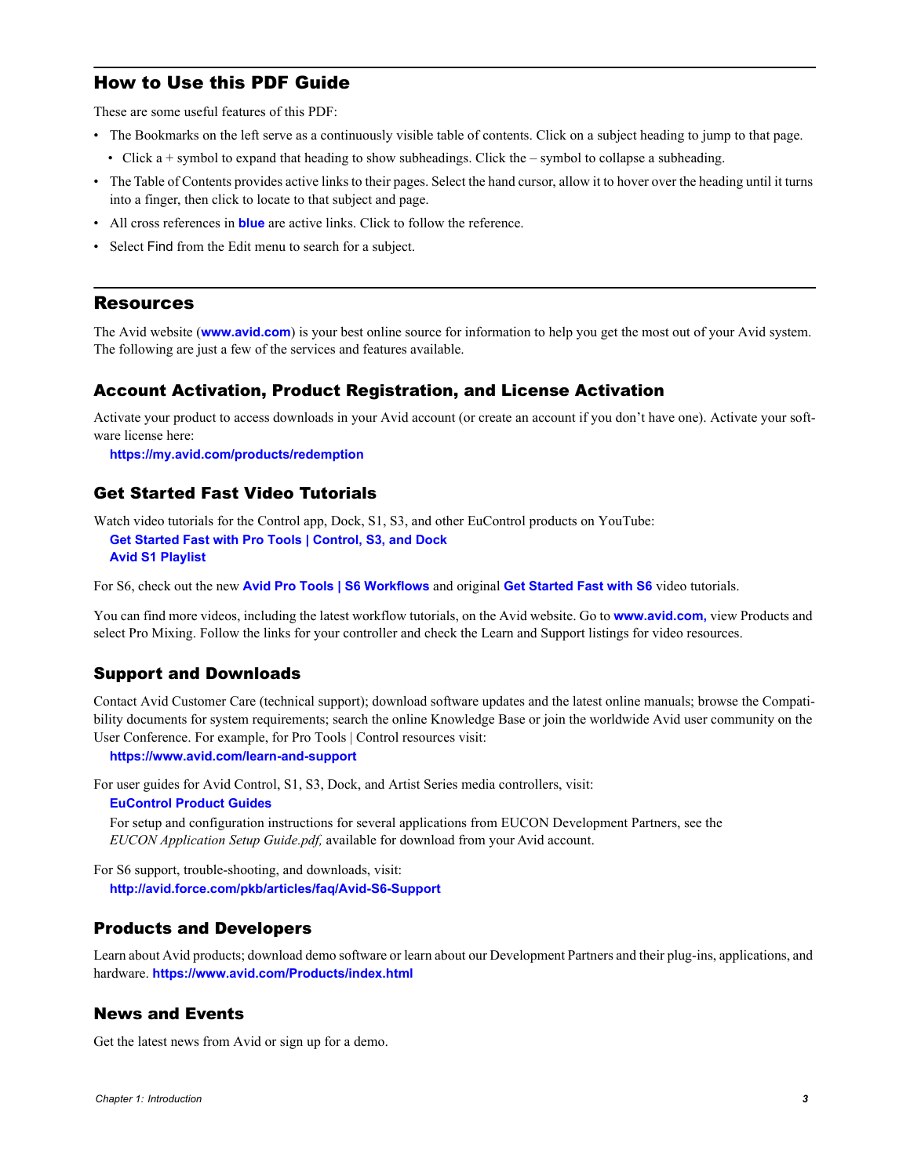## <span id="page-5-0"></span>How to Use this PDF Guide

These are some useful features of this PDF:

- The Bookmarks on the left serve as a continuously visible table of contents. Click on a subject heading to jump to that page.
	- Click a + symbol to expand that heading to show subheadings. Click the symbol to collapse a subheading.
- The Table of Contents provides active links to their pages. Select the hand cursor, allow it to hover over the heading until it turns into a finger, then click to locate to that subject and page.
- All cross references in **blue** are active links. Click to follow the reference.
- Select Find from the Edit menu to search for a subject.

## <span id="page-5-1"></span>**Resources**

The Avid website (**www.avid.com**) is your best online source for information to help you get the most out of your Avid system. The following are just a few of the services and features available.

## Account Activation, Product Registration, and License Activation

Activate your product to access downloads in your Avid account (or create an account if you don't have one). Activate your software license here:

**<https://my.avid.com/products/redemption>**

## Get Started Fast Video Tutorials

Watch video tutorials for the Control app, Dock, S1, S3, and other EuControl products on YouTube: **[Get Started Fast with Pro Tools | Control, S3, and Dock](https://www.youtube.com/playlist?list=PLhCR_8aS9jOM6Y3QZwzLC-KZnP0b4hEjz)**

**[Avid S1 Playlist](https://www.youtube.com/playlist?list=PLhCR_8aS9jOMkOWHVv2ydnVnRT4C4TJda)**

For S6, check out the new **[Avid Pro Tools | S6 Workflows](https://www.youtube.com/playlist?list=PLhCR_8aS9jOPO2WLom-lUkQjZgbW498Rf)** and original **[Get Started Fast with S6](https://www.youtube.com/playlist?list=PLhCR_8aS9jOPp-bo_wjYUpkBsVjiUH2gB)** video tutorials.

You can find more videos, including the latest workflow tutorials, on the Avid website. Go to **www.avid.com,** view Products and select Pro Mixing. Follow the links for your controller and check the Learn and Support listings for video resources.

## Support and Downloads

Contact Avid Customer Care (technical support); download software updates and the latest online manuals; browse the Compatibility documents for system requirements; search the online Knowledge Base or join the worldwide Avid user community on the User Conference. For example, for Pro Tools | Control resources visit:

**https://www.avid.com/learn-and-support**

For user guides for Avid Control, S1, S3, Dock, and Artist Series media controllers, visit:

**[EuControl Product Guides](http://avid.force.com/pkb/articles//user_guide/EuControl-Product-Guides)**

For setup and configuration instructions for several applications from EUCON Development Partners, see the *EUCON Application Setup Guide.pdf,* available for download from your Avid account.

For S6 support, trouble-shooting, and downloads, visit: **http://avid.force.com/pkb/articles/faq/Avid-S6-Support**

## Products and Developers

Learn about Avid products; download demo software or learn about our Development Partners and their plug-ins, applications, and hardware. **https://www.avid.com/Products/index.html**

## News and Events

Get the latest news from Avid or sign up for a demo.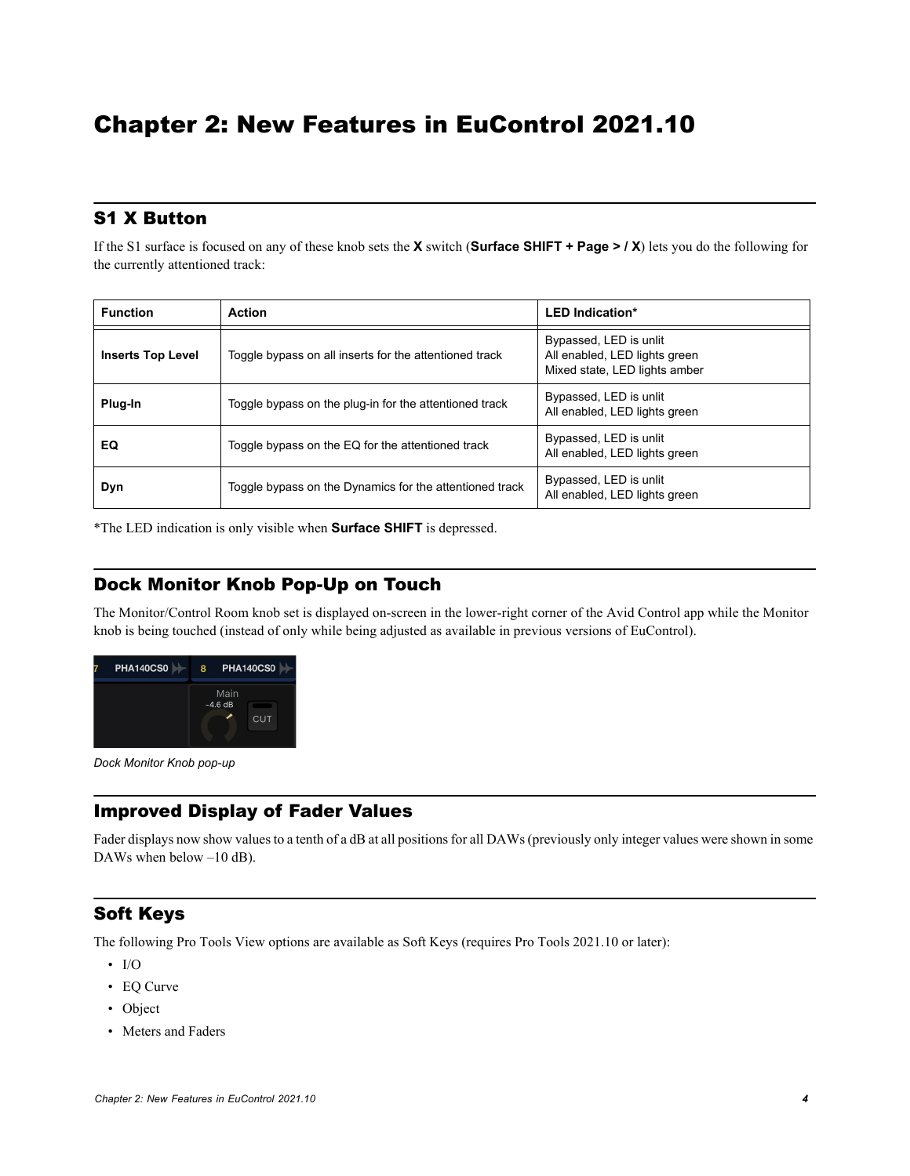## <span id="page-6-0"></span>Chapter 2: New Features in EuControl 2021.10

## <span id="page-6-1"></span>S1 X Button

If the S1 surface is focused on any of these knob sets the **X** switch (**Surface SHIFT + Page > / X**) lets you do the following for the currently attentioned track:

| <b>Function</b>          | <b>Action</b>                                           | <b>LED Indication*</b>                                                                   |  |
|--------------------------|---------------------------------------------------------|------------------------------------------------------------------------------------------|--|
| <b>Inserts Top Level</b> | Toggle bypass on all inserts for the attentioned track  | Bypassed, LED is unlit<br>All enabled, LED lights green<br>Mixed state, LED lights amber |  |
| Plug-In                  | Toggle bypass on the plug-in for the attentioned track  | Bypassed, LED is unlit<br>All enabled, LED lights green                                  |  |
| EQ                       | Toggle bypass on the EQ for the attentioned track       | Bypassed, LED is unlit<br>All enabled, LED lights green                                  |  |
| Dyn                      | Toggle bypass on the Dynamics for the attentioned track | Bypassed, LED is unlit<br>All enabled, LED lights green                                  |  |

\*The LED indication is only visible when **Surface SHIFT** is depressed.

## <span id="page-6-2"></span>Dock Monitor Knob Pop-Up on Touch

The Monitor/Control Room knob set is displayed on-screen in the lower-right corner of the Avid Control app while the Monitor knob is being touched (instead of only while being adjusted as available in previous versions of EuControl).



*Dock Monitor Knob pop-up*

## <span id="page-6-3"></span>Improved Display of Fader Values

Fader displays now show values to a tenth of a dB at all positions for all DAWs (previously only integer values were shown in some DAWs when below –10 dB).

## <span id="page-6-4"></span>Soft Keys

The following Pro Tools View options are available as Soft Keys (requires Pro Tools 2021.10 or later):

- I/O
- EQ Curve
- Object
- Meters and Faders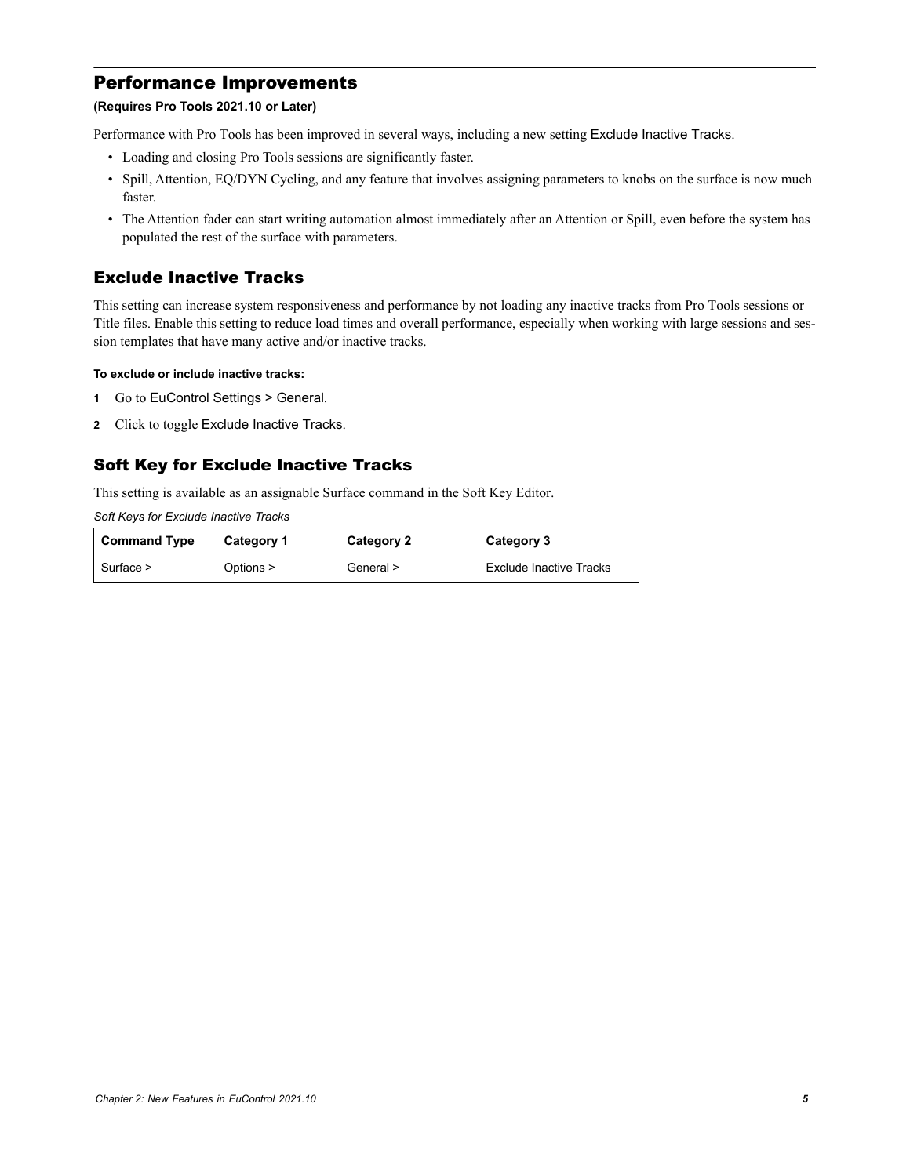## <span id="page-7-0"></span>Performance Improvements

## **(Requires Pro Tools 2021.10 or Later)**

Performance with Pro Tools has been improved in several ways, including a new setting Exclude Inactive Tracks.

- Loading and closing Pro Tools sessions are significantly faster.
- Spill, Attention, EQ/DYN Cycling, and any feature that involves assigning parameters to knobs on the surface is now much faster.
- The Attention fader can start writing automation almost immediately after an Attention or Spill, even before the system has populated the rest of the surface with parameters.

## Exclude Inactive Tracks

This setting can increase system responsiveness and performance by not loading any inactive tracks from Pro Tools sessions or Title files. Enable this setting to reduce load times and overall performance, especially when working with large sessions and session templates that have many active and/or inactive tracks.

#### **To exclude or include inactive tracks:**

- **1** Go to EuControl Settings > General.
- **2** Click to toggle Exclude Inactive Tracks.

## Soft Key for Exclude Inactive Tracks

This setting is available as an assignable Surface command in the Soft Key Editor.

*Soft Keys for Exclude Inactive Tracks* 

| <b>Command Type</b> | Category 1 | Category 2 | Category 3                     |
|---------------------|------------|------------|--------------------------------|
| Surface $>$         | Options >  | General >  | <b>Exclude Inactive Tracks</b> |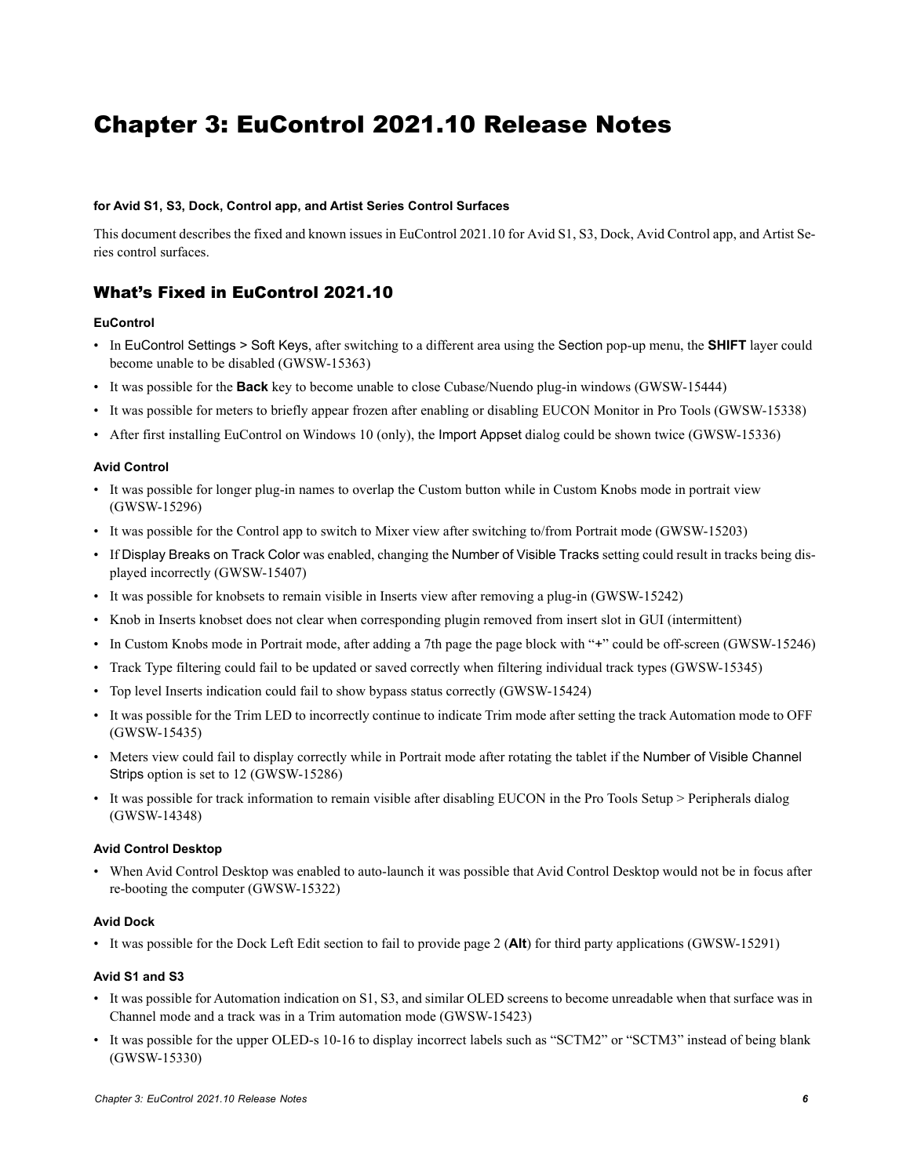## <span id="page-8-1"></span><span id="page-8-0"></span>Chapter 3: EuControl 2021.10 Release Notes

#### **for Avid S1, S3, Dock, Control app, and Artist Series Control Surfaces**

This document describes the fixed and known issues in EuControl 2021.10 for Avid S1, S3, Dock, Avid Control app, and Artist Series control surfaces.

## What's Fixed in EuControl 2021.10

### **EuControl**

- In EuControl Settings > Soft Keys, after switching to a different area using the Section pop-up menu, the **SHIFT** layer could become unable to be disabled (GWSW-15363)
- It was possible for the **Back** key to become unable to close Cubase/Nuendo plug-in windows (GWSW-15444)
- It was possible for meters to briefly appear frozen after enabling or disabling EUCON Monitor in Pro Tools (GWSW-15338)
- After first installing EuControl on Windows 10 (only), the Import Appset dialog could be shown twice (GWSW-15336)

#### **Avid Control**

- It was possible for longer plug-in names to overlap the Custom button while in Custom Knobs mode in portrait view (GWSW-15296)
- It was possible for the Control app to switch to Mixer view after switching to/from Portrait mode (GWSW-15203)
- If Display Breaks on Track Color was enabled, changing the Number of Visible Tracks setting could result in tracks being displayed incorrectly (GWSW-15407)
- It was possible for knobsets to remain visible in Inserts view after removing a plug-in (GWSW-15242)
- Knob in Inserts knobset does not clear when corresponding plugin removed from insert slot in GUI (intermittent)
- In Custom Knobs mode in Portrait mode, after adding a 7th page the page block with "+" could be off-screen (GWSW-15246)
- Track Type filtering could fail to be updated or saved correctly when filtering individual track types (GWSW-15345)
- Top level Inserts indication could fail to show bypass status correctly (GWSW-15424)
- It was possible for the Trim LED to incorrectly continue to indicate Trim mode after setting the track Automation mode to OFF (GWSW-15435)
- Meters view could fail to display correctly while in Portrait mode after rotating the tablet if the Number of Visible Channel Strips option is set to 12 (GWSW-15286)
- It was possible for track information to remain visible after disabling EUCON in the Pro Tools Setup > Peripherals dialog (GWSW-14348)

#### **Avid Control Desktop**

• When Avid Control Desktop was enabled to auto-launch it was possible that Avid Control Desktop would not be in focus after re-booting the computer (GWSW-15322)

#### **Avid Dock**

• It was possible for the Dock Left Edit section to fail to provide page 2 (**Alt**) for third party applications (GWSW-15291)

#### **Avid S1 and S3**

- It was possible for Automation indication on S1, S3, and similar OLED screens to become unreadable when that surface was in Channel mode and a track was in a Trim automation mode (GWSW-15423)
- It was possible for the upper OLED-s 10-16 to display incorrect labels such as "SCTM2" or "SCTM3" instead of being blank (GWSW-15330)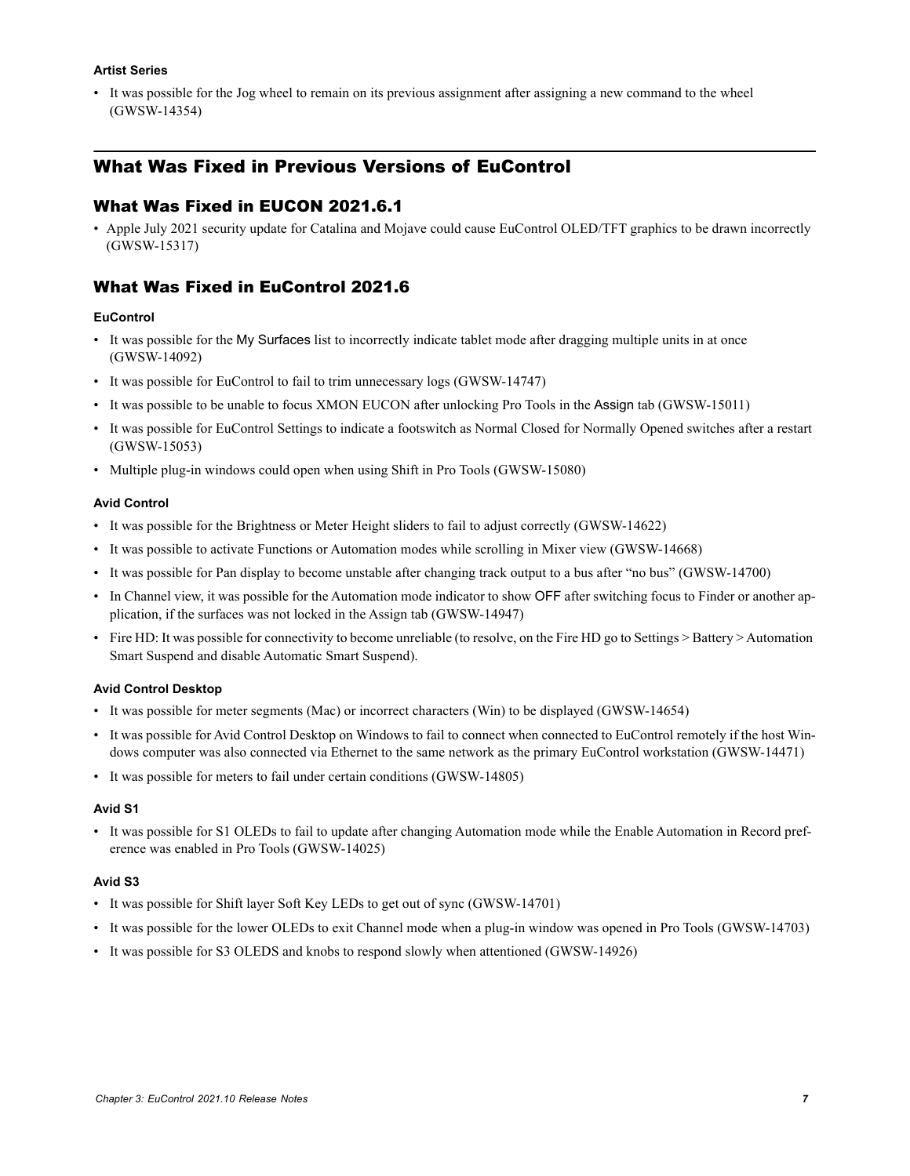### **Artist Series**

• It was possible for the Jog wheel to remain on its previous assignment after assigning a new command to the wheel (GWSW-14354)

## <span id="page-9-0"></span>What Was Fixed in Previous Versions of EuControl

## What Was Fixed in EUCON 2021.6.1

• Apple July 2021 security update for Catalina and Mojave could cause EuControl OLED/TFT graphics to be drawn incorrectly (GWSW-15317)

## What Was Fixed in EuControl 2021.6

### **EuControl**

- It was possible for the My Surfaces list to incorrectly indicate tablet mode after dragging multiple units in at once (GWSW-14092)
- It was possible for EuControl to fail to trim unnecessary logs (GWSW-14747)
- It was possible to be unable to focus XMON EUCON after unlocking Pro Tools in the Assign tab (GWSW-15011)
- It was possible for EuControl Settings to indicate a footswitch as Normal Closed for Normally Opened switches after a restart (GWSW-15053)
- Multiple plug-in windows could open when using Shift in Pro Tools (GWSW-15080)

#### **Avid Control**

- It was possible for the Brightness or Meter Height sliders to fail to adjust correctly (GWSW-14622)
- It was possible to activate Functions or Automation modes while scrolling in Mixer view (GWSW-14668)
- It was possible for Pan display to become unstable after changing track output to a bus after "no bus" (GWSW-14700)
- In Channel view, it was possible for the Automation mode indicator to show OFF after switching focus to Finder or another application, if the surfaces was not locked in the Assign tab (GWSW-14947)
- Fire HD: It was possible for connectivity to become unreliable (to resolve, on the Fire HD go to Settings > Battery > Automation Smart Suspend and disable Automatic Smart Suspend).

#### **Avid Control Desktop**

- It was possible for meter segments (Mac) or incorrect characters (Win) to be displayed (GWSW-14654)
- It was possible for Avid Control Desktop on Windows to fail to connect when connected to EuControl remotely if the host Windows computer was also connected via Ethernet to the same network as the primary EuControl workstation (GWSW-14471)
- It was possible for meters to fail under certain conditions (GWSW-14805)

#### **Avid S1**

• It was possible for S1 OLEDs to fail to update after changing Automation mode while the Enable Automation in Record preference was enabled in Pro Tools (GWSW-14025)

#### **Avid S3**

- It was possible for Shift layer Soft Key LEDs to get out of sync (GWSW-14701)
- It was possible for the lower OLEDs to exit Channel mode when a plug-in window was opened in Pro Tools (GWSW-14703)
- It was possible for S3 OLEDS and knobs to respond slowly when attentioned (GWSW-14926)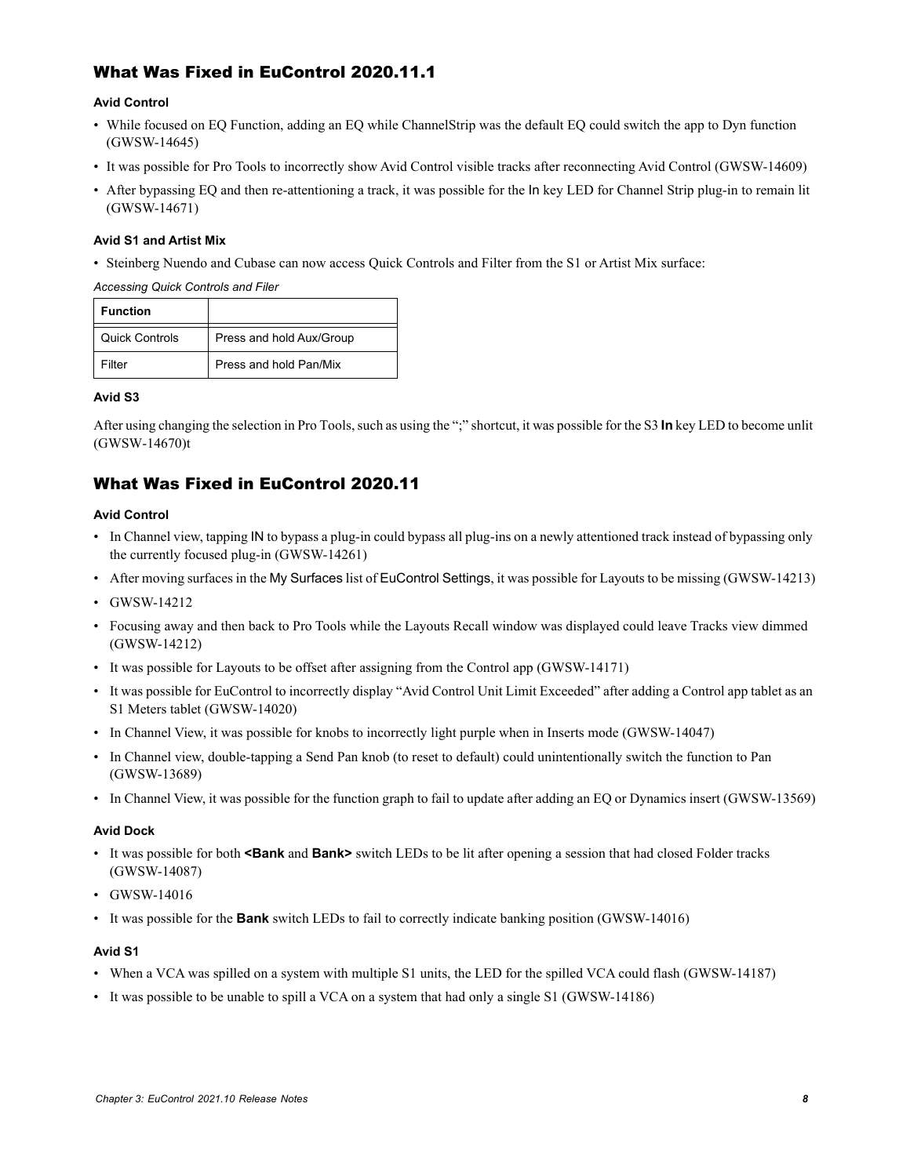## What Was Fixed in EuControl 2020.11.1

### **Avid Control**

- While focused on EQ Function, adding an EQ while ChannelStrip was the default EQ could switch the app to Dyn function (GWSW-14645)
- It was possible for Pro Tools to incorrectly show Avid Control visible tracks after reconnecting Avid Control (GWSW-14609)
- After bypassing EQ and then re-attentioning a track, it was possible for the In key LED for Channel Strip plug-in to remain lit (GWSW-14671)

#### **Avid S1 and Artist Mix**

• Steinberg Nuendo and Cubase can now access Quick Controls and Filter from the S1 or Artist Mix surface:

*Accessing Quick Controls and Filer*

| <b>Function</b>       |                          |
|-----------------------|--------------------------|
| <b>Quick Controls</b> | Press and hold Aux/Group |
| Filter                | Press and hold Pan/Mix   |

### **Avid S3**

After using changing the selection in Pro Tools, such as using the ";" shortcut, it was possible for the S3 **In** key LED to become unlit (GWSW-14670)t

## What Was Fixed in EuControl 2020.11

## **Avid Control**

- In Channel view, tapping IN to bypass a plug-in could bypass all plug-ins on a newly attentioned track instead of bypassing only the currently focused plug-in (GWSW-14261)
- After moving surfaces in the My Surfaces list of EuControl Settings, it was possible for Layouts to be missing (GWSW-14213)
- GWSW-14212
- Focusing away and then back to Pro Tools while the Layouts Recall window was displayed could leave Tracks view dimmed (GWSW-14212)
- It was possible for Layouts to be offset after assigning from the Control app (GWSW-14171)
- It was possible for EuControl to incorrectly display "Avid Control Unit Limit Exceeded" after adding a Control app tablet as an S1 Meters tablet (GWSW-14020)
- In Channel View, it was possible for knobs to incorrectly light purple when in Inserts mode (GWSW-14047)
- In Channel view, double-tapping a Send Pan knob (to reset to default) could unintentionally switch the function to Pan (GWSW-13689)
- In Channel View, it was possible for the function graph to fail to update after adding an EQ or Dynamics insert (GWSW-13569)

### **Avid Dock**

- It was possible for both **<Bank** and **Bank>** switch LEDs to be lit after opening a session that had closed Folder tracks (GWSW-14087)
- GWSW-14016
- It was possible for the **Bank** switch LEDs to fail to correctly indicate banking position (GWSW-14016)

### **Avid S1**

- When a VCA was spilled on a system with multiple S1 units, the LED for the spilled VCA could flash (GWSW-14187)
- It was possible to be unable to spill a VCA on a system that had only a single S1 (GWSW-14186)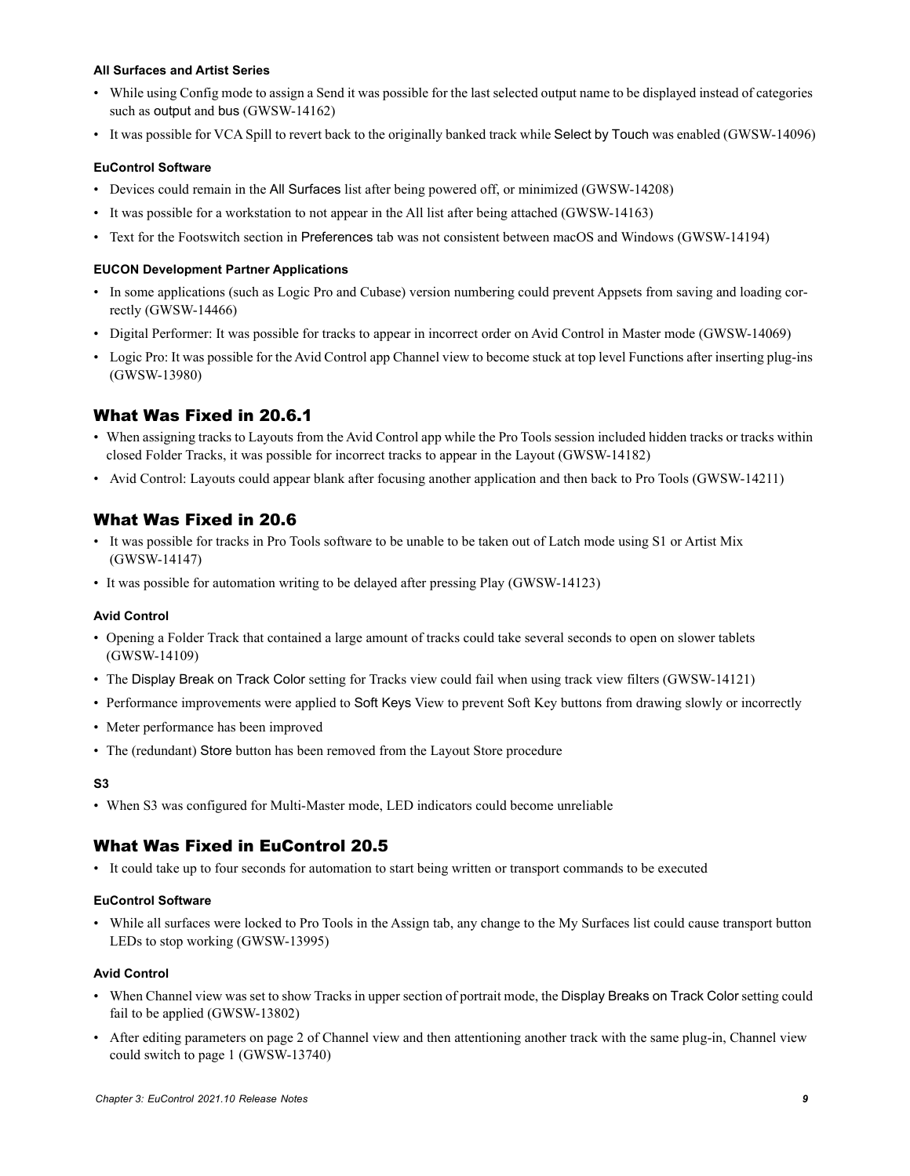#### **All Surfaces and Artist Series**

- While using Config mode to assign a Send it was possible for the last selected output name to be displayed instead of categories such as output and bus (GWSW-14162)
- It was possible for VCA Spill to revert back to the originally banked track while Select by Touch was enabled (GWSW-14096)

#### **EuControl Software**

- Devices could remain in the All Surfaces list after being powered off, or minimized (GWSW-14208)
- It was possible for a workstation to not appear in the All list after being attached (GWSW-14163)
- Text for the Footswitch section in Preferences tab was not consistent between macOS and Windows (GWSW-14194)

#### **EUCON Development Partner Applications**

- In some applications (such as Logic Pro and Cubase) version numbering could prevent Appsets from saving and loading correctly (GWSW-14466)
- Digital Performer: It was possible for tracks to appear in incorrect order on Avid Control in Master mode (GWSW-14069)
- Logic Pro: It was possible for the Avid Control app Channel view to become stuck at top level Functions after inserting plug-ins (GWSW-13980)

## What Was Fixed in 20.6.1

- When assigning tracks to Layouts from the Avid Control app while the Pro Tools session included hidden tracks or tracks within closed Folder Tracks, it was possible for incorrect tracks to appear in the Layout (GWSW-14182)
- Avid Control: Layouts could appear blank after focusing another application and then back to Pro Tools (GWSW-14211)

## What Was Fixed in 20.6

- It was possible for tracks in Pro Tools software to be unable to be taken out of Latch mode using S1 or Artist Mix (GWSW-14147)
- It was possible for automation writing to be delayed after pressing Play (GWSW-14123)

#### **Avid Control**

- Opening a Folder Track that contained a large amount of tracks could take several seconds to open on slower tablets (GWSW-14109)
- The Display Break on Track Color setting for Tracks view could fail when using track view filters (GWSW-14121)
- Performance improvements were applied to Soft Keys View to prevent Soft Key buttons from drawing slowly or incorrectly
- Meter performance has been improved
- The (redundant) Store button has been removed from the Layout Store procedure

#### **S3**

• When S3 was configured for Multi-Master mode, LED indicators could become unreliable

## What Was Fixed in EuControl 20.5

• It could take up to four seconds for automation to start being written or transport commands to be executed

#### **EuControl Software**

• While all surfaces were locked to Pro Tools in the Assign tab, any change to the My Surfaces list could cause transport button LEDs to stop working (GWSW-13995)

#### **Avid Control**

- When Channel view was set to show Tracks in upper section of portrait mode, the Display Breaks on Track Color setting could fail to be applied (GWSW-13802)
- After editing parameters on page 2 of Channel view and then attentioning another track with the same plug-in, Channel view could switch to page 1 (GWSW-13740)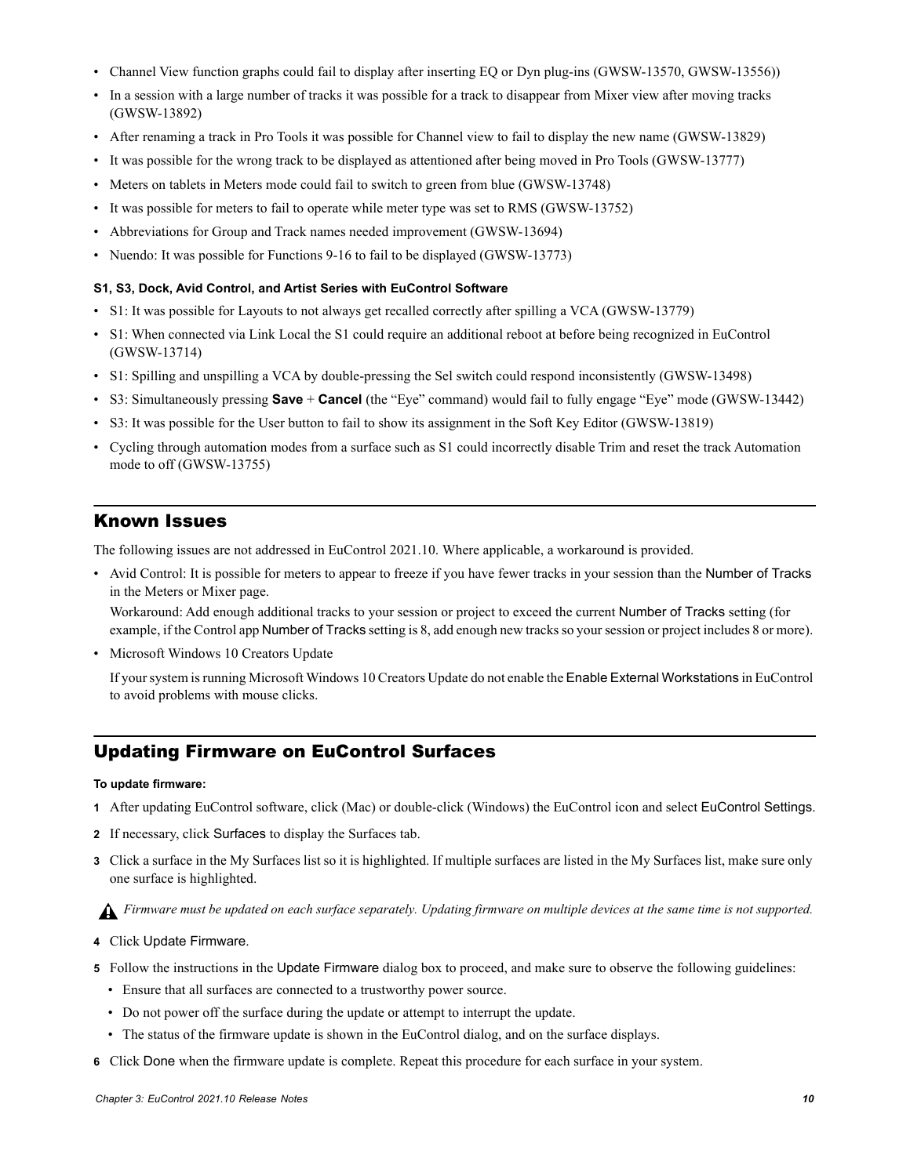- Channel View function graphs could fail to display after inserting EQ or Dyn plug-ins (GWSW-13570, GWSW-13556))
- In a session with a large number of tracks it was possible for a track to disappear from Mixer view after moving tracks (GWSW-13892)
- After renaming a track in Pro Tools it was possible for Channel view to fail to display the new name (GWSW-13829)
- It was possible for the wrong track to be displayed as attentioned after being moved in Pro Tools (GWSW-13777)
- Meters on tablets in Meters mode could fail to switch to green from blue (GWSW-13748)
- It was possible for meters to fail to operate while meter type was set to RMS (GWSW-13752)
- Abbreviations for Group and Track names needed improvement (GWSW-13694)
- Nuendo: It was possible for Functions 9-16 to fail to be displayed (GWSW-13773)

#### **S1, S3, Dock, Avid Control, and Artist Series with EuControl Software**

- S1: It was possible for Layouts to not always get recalled correctly after spilling a VCA (GWSW-13779)
- S1: When connected via Link Local the S1 could require an additional reboot at before being recognized in EuControl (GWSW-13714)
- S1: Spilling and unspilling a VCA by double-pressing the Sel switch could respond inconsistently (GWSW-13498)
- S3: Simultaneously pressing **Save** + **Cancel** (the "Eye" command) would fail to fully engage "Eye" mode (GWSW-13442)
- S3: It was possible for the User button to fail to show its assignment in the Soft Key Editor (GWSW-13819)
- Cycling through automation modes from a surface such as S1 could incorrectly disable Trim and reset the track Automation mode to off (GWSW-13755)

## <span id="page-12-0"></span>Known Issues

The following issues are not addressed in EuControl 2021.10. Where applicable, a workaround is provided.

• Avid Control: It is possible for meters to appear to freeze if you have fewer tracks in your session than the Number of Tracks in the Meters or Mixer page.

Workaround: Add enough additional tracks to your session or project to exceed the current Number of Tracks setting (for example, if the Control app Number of Tracks setting is 8, add enough new tracks so your session or project includes 8 or more).

• Microsoft Windows 10 Creators Update

If your system is running Microsoft Windows 10 Creators Update do not enable the Enable External Workstations in EuControl to avoid problems with mouse clicks.

## <span id="page-12-1"></span>Updating Firmware on EuControl Surfaces

#### **To update firmware:**

- **1** After updating EuControl software, click (Mac) or double-click (Windows) the EuControl icon and select EuControl Settings.
- **2** If necessary, click Surfaces to display the Surfaces tab.
- **3** Click a surface in the My Surfaces list so it is highlighted. If multiple surfaces are listed in the My Surfaces list, make sure only one surface is highlighted.

*Firmware must be updated on each surface separately. Updating firmware on multiple devices at the same time is not supported.*

- **4** Click Update Firmware.
- **5** Follow the instructions in the Update Firmware dialog box to proceed, and make sure to observe the following guidelines:
	- Ensure that all surfaces are connected to a trustworthy power source.
	- Do not power off the surface during the update or attempt to interrupt the update.
	- The status of the firmware update is shown in the EuControl dialog, and on the surface displays.
- **6** Click Done when the firmware update is complete. Repeat this procedure for each surface in your system.